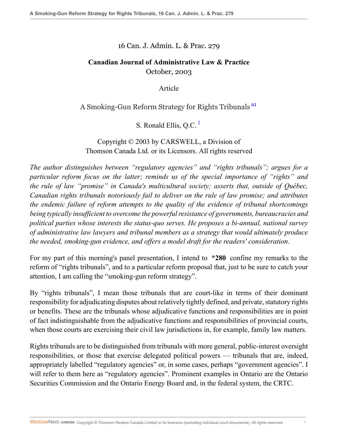16 Can. J. Admin. L. & Prac. 279

# **Canadian Journal of Administrative Law & Practice** October, 2003

<span id="page-0-1"></span><span id="page-0-0"></span>Article

#### A Smoking-Gun Reform Strategy for Rights Tribunals [a1](#page-8-0)

S. Ronald Ellis, Q.C.<sup>[1](#page-8-1)</sup>

Copyright © 2003 by CARSWELL, a Division of Thomson Canada Ltd. or its Licensors. All rights reserved

*The author distinguishes between "regulatory agencies" and "rights tribunals"; argues for a particular reform focus on the latter; reminds us of the special importance of "rights" and the rule of law "promise" in Canada's multicultural society; asserts that, outside of Québec, Canadian rights tribunals notoriously fail to deliver on the rule of law promise; and attributes the endemic failure of reform attempts to the quality of the evidence of tribunal shortcomings being typically insufficient to overcome the powerful resistance of governments, bureaucracies and political parties whose interests the status-quo serves. He proposes a bi-annual, national survey of administrative law lawyers and tribunal members as a strategy that would ultimately produce the needed, smoking-gun evidence, and offers a model draft for the readers' consideration*.

For my part of this morning's panel presentation, I intend to **\*280** confine my remarks to the reform of "rights tribunals", and to a particular reform proposal that, just to be sure to catch your attention, I am calling the "smoking-gun reform strategy".

By "rights tribunals", I mean those tribunals that are court-like in terms of their dominant responsibility for adjudicating disputes about relatively tightly defined, and private, statutory rights or benefits. These are the tribunals whose adjudicative functions and responsibilities are in point of fact indistinguishable from the adjudicative functions and responsibilities of provincial courts, when those courts are exercising their civil law jurisdictions in, for example, family law matters.

Rights tribunals are to be distinguished from tribunals with more general, public-interest oversight responsibilities, or those that exercise delegated political powers — tribunals that are, indeed, appropriately labelled "regulatory agencies" or, in some cases, perhaps "government agencies". I will refer to them here as "regulatory agencies". Prominent examples in Ontario are the Ontario Securities Commission and the Ontario Energy Board and, in the federal system, the CRTC.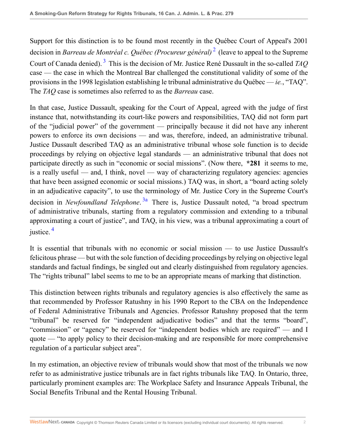<span id="page-1-1"></span><span id="page-1-0"></span>Support for this distinction is to be found most recently in the Québec Court of Appeal's 2001 decision in *Barreau de Montréal c. Québec (Procureur général)* [2](#page-8-2) (leave to appeal to the Supreme Court of Canada denied). [3](#page-8-3) This is the decision of Mr. Justice René Dussault in the so-called *TAQ* case — the case in which the Montreal Bar challenged the constitutional validity of some of the provisions in the 1998 legislation establishing le tribunal administrative du Québec — *ie.*, "TAQ". The *TAQ* case is sometimes also referred to as the *Barreau* case.

In that case, Justice Dussault, speaking for the Court of Appeal, agreed with the judge of first instance that, notwithstanding its court-like powers and responsibilities, TAQ did not form part of the "judicial power" of the government — principally because it did not have any inherent powers to enforce its own decisions — and was, therefore, indeed, an administrative tribunal. Justice Dussault described TAQ as an administrative tribunal whose sole function is to decide proceedings by relying on objective legal standards — an administrative tribunal that does not participate directly as such in "economic or social missions". (Now there, **\*281** it seems to me, is a really useful — and, I think, novel — way of characterizing regulatory agencies: agencies that have been assigned economic or social missions.) TAQ was, in short, a "board acting solely in an adjudicative capacity", to use the terminology of Mr. Justice Cory in the Supreme Court's decision in *Newfoundland Telephone*. [3a](#page-8-4) There is, Justice Dussault noted, "a broad spectrum of administrative tribunals, starting from a regulatory commission and extending to a tribunal approximating a court of justice", and TAQ, in his view, was a tribunal approximating a court of justice.  $4$ 

<span id="page-1-3"></span><span id="page-1-2"></span>It is essential that tribunals with no economic or social mission — to use Justice Dussault's felicitous phrase — but with the sole function of deciding proceedings by relying on objective legal standards and factual findings, be singled out and clearly distinguished from regulatory agencies. The "rights tribunal" label seems to me to be an appropriate means of marking that distinction.

This distinction between rights tribunals and regulatory agencies is also effectively the same as that recommended by Professor Ratushny in his 1990 Report to the CBA on the Independence of Federal Administrative Tribunals and Agencies. Professor Ratushny proposed that the term "tribunal" be reserved for "independent adjudicative bodies" and that the terms "board", "commission" or "agency" be reserved for "independent bodies which are required" — and I quote — "to apply policy to their decision-making and are responsible for more comprehensive regulation of a particular subject area".

In my estimation, an objective review of tribunals would show that most of the tribunals we now refer to as administrative justice tribunals are in fact rights tribunals like TAQ. In Ontario, three, particularly prominent examples are: The Workplace Safety and Insurance Appeals Tribunal, the Social Benefits Tribunal and the Rental Housing Tribunal.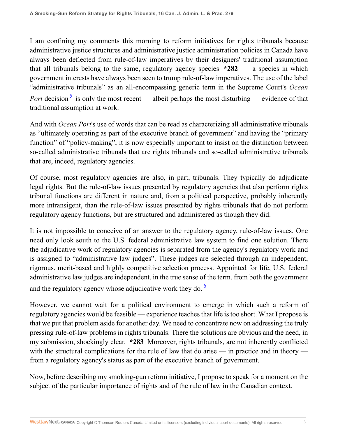I am confining my comments this morning to reform initiatives for rights tribunals because administrative justice structures and administrative justice administration policies in Canada have always been deflected from rule-of-law imperatives by their designers' traditional assumption that all tribunals belong to the same, regulatory agency species **\*282** — a species in which government interests have always been seen to trump rule-of-law imperatives. The use of the label "administrative tribunals" as an all-encompassing generic term in the Supreme Court's *Ocean Port* decision<sup>[5](#page-8-6)</sup> is only the most recent — albeit perhaps the most disturbing — evidence of that traditional assumption at work.

<span id="page-2-0"></span>And with *Ocean Port*'s use of words that can be read as characterizing all administrative tribunals as "ultimately operating as part of the executive branch of government" and having the "primary function" of "policy-making", it is now especially important to insist on the distinction between so-called administrative tribunals that are rights tribunals and so-called administrative tribunals that are, indeed, regulatory agencies.

Of course, most regulatory agencies are also, in part, tribunals. They typically do adjudicate legal rights. But the rule-of-law issues presented by regulatory agencies that also perform rights tribunal functions are different in nature and, from a political perspective, probably inherently more intransigent, than the rule-of-law issues presented by rights tribunals that do not perform regulatory agency functions, but are structured and administered as though they did.

It is not impossible to conceive of an answer to the regulatory agency, rule-of-law issues. One need only look south to the U.S. federal administrative law system to find one solution. There the adjudicative work of regulatory agencies is separated from the agency's regulatory work and is assigned to "administrative law judges". These judges are selected through an independent, rigorous, merit-based and highly competitive selection process. Appointed for life, U.S. federal administrative law judges are independent, in the true sense of the term, from both the government and the regulatory agency whose adjudicative work they do.  $6\%$  $6\%$ 

<span id="page-2-1"></span>However, we cannot wait for a political environment to emerge in which such a reform of regulatory agencies would be feasible — experience teaches that life is too short. What I propose is that we put that problem aside for another day. We need to concentrate now on addressing the truly pressing rule-of-law problems in rights tribunals. There the solutions are obvious and the need, in my submission, shockingly clear. **\*283** Moreover, rights tribunals, are not inherently conflicted with the structural complications for the rule of law that do arise — in practice and in theory from a regulatory agency's status as part of the executive branch of government.

Now, before describing my smoking-gun reform initiative, I propose to speak for a moment on the subject of the particular importance of rights and of the rule of law in the Canadian context.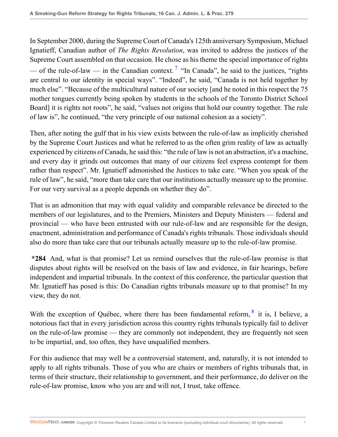<span id="page-3-0"></span>In September 2000, during the Supreme Court of Canada's 125th anniversary Symposium, Michael Ignatieff, Canadian author of *The Rights Revolution*, was invited to address the justices of the Supreme Court assembled on that occasion. He chose as his theme the special importance of rights — of the rule-of-law — in the Canadian context.<sup>[7](#page-8-8)</sup> "In Canada", he said to the justices, "rights are central to our identity in special ways". "Indeed", he said, "Canada is not held together by much else". "Because of the multicultural nature of our society [and he noted in this respect the 75 mother tongues currently being spoken by students in the schools of the Toronto District School Board] it is rights not roots", he said, "values not origins that hold our country together. The rule of law is", he continued, "the very principle of our national cohesion as a society".

Then, after noting the gulf that in his view exists between the rule-of-law as implicitly cherished by the Supreme Court Justices and what he referred to as the often grim reality of law as actually experienced by citizens of Canada, he said this: "the rule of law is not an abstraction, it's a machine, and every day it grinds out outcomes that many of our citizens feel express contempt for them rather than respect". Mr. Ignatieff admonished the Justices to take care. "When you speak of the rule of law", he said, "more than take care that our institutions actually measure up to the promise. For our very survival as a people depends on whether they do".

That is an admonition that may with equal validity and comparable relevance be directed to the members of our legislatures, and to the Premiers, Ministers and Deputy Ministers — federal and provincial — who have been entrusted with our rule-of-law and are responsible for the design, enactment, administration and performance of Canada's rights tribunals. Those individuals should also do more than take care that our tribunals actually measure up to the rule-of-law promise.

**\*284** And, what is that promise? Let us remind ourselves that the rule-of-law promise is that disputes about rights will be resolved on the basis of law and evidence, in fair hearings, before independent and impartial tribunals. In the context of this conference, the particular question that Mr. Ignatieff has posed is this: Do Canadian rights tribunals measure up to that promise? In my view, they do not.

<span id="page-3-1"></span>With the exception of Québec, where there has been fundamental reform,  $\frac{8}{3}$  $\frac{8}{3}$  $\frac{8}{3}$  it is, I believe, a notorious fact that in every jurisdiction across this country rights tribunals typically fail to deliver on the rule-of-law promise — they are commonly not independent, they are frequently not seen to be impartial, and, too often, they have unqualified members.

For this audience that may well be a controversial statement, and, naturally, it is not intended to apply to all rights tribunals. Those of you who are chairs or members of rights tribunals that, in terms of their structure, their relationship to government, and their performance, do deliver on the rule-of-law promise, know who you are and will not, I trust, take offence.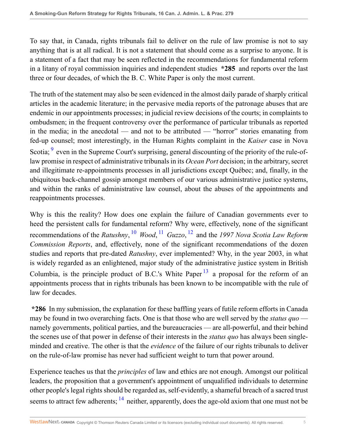To say that, in Canada, rights tribunals fail to deliver on the rule of law promise is not to say anything that is at all radical. It is not a statement that should come as a surprise to anyone. It is a statement of a fact that may be seen reflected in the recommendations for fundamental reform in a litany of royal commission inquiries and independent studies **\*285** and reports over the last three or four decades, of which the B. C. White Paper is only the most current.

<span id="page-4-0"></span>The truth of the statement may also be seen evidenced in the almost daily parade of sharply critical articles in the academic literature; in the pervasive media reports of the patronage abuses that are endemic in our appointments processes; in judicial review decisions of the courts; in complaints to ombudsmen; in the frequent controversy over the performance of particular tribunals as reported in the media; in the anecdotal — and not to be attributed — "horror" stories emanating from fed-up counsel; most interestingly, in the Human Rights complaint in the *Kaiser* case in Nova Scotia; <sup>[9](#page-9-1)</sup> even in the Supreme Court's surprising, general discounting of the priority of the rule-oflaw promise in respect of administrative tribunals in its *Ocean Port* decision; in the arbitrary, secret and illegitimate re-appointments processes in all jurisdictions except Québec; and, finally, in the ubiquitous back-channel gossip amongst members of our various administrative justice systems, and within the ranks of administrative law counsel, about the abuses of the appointments and reappointments processes.

<span id="page-4-3"></span><span id="page-4-2"></span><span id="page-4-1"></span>Why is this the reality? How does one explain the failure of Canadian governments ever to heed the persistent calls for fundamental reform? Why were, effectively, none of the significant recommendations of the *Ratushny*, [10](#page-9-2) *Wood*, [11](#page-9-3) *Guzzo*, [12](#page-9-4) and the *1997 Nova Scotia Law Reform Commission Reports*, and, effectively, none of the significant recommendations of the dozen studies and reports that pre-dated *Ratushny*, ever implemented? Why, in the year 2003, in what is widely regarded as an enlightened, major study of the administrative justice system in British Columbia, is the principle product of B.C.'s White Paper  $^{13}$  $^{13}$  $^{13}$  a proposal for the reform of an appointments process that in rights tribunals has been known to be incompatible with the rule of law for decades.

<span id="page-4-4"></span>**\*286** In my submission, the explanation for these baffling years of futile reform efforts in Canada may be found in two overarching facts. One is that those who are well served by the *status quo* namely governments, political parties, and the bureaucracies — are all-powerful, and their behind the scenes use of that power in defense of their interests in the *status quo* has always been singleminded and creative. The other is that the *evidence* of the failure of our rights tribunals to deliver on the rule-of-law promise has never had sufficient weight to turn that power around.

<span id="page-4-5"></span>Experience teaches us that the *principles* of law and ethics are not enough. Amongst our political leaders, the proposition that a government's appointment of unqualified individuals to determine other people's legal rights should be regarded as, self-evidently, a shameful breach of a sacred trust seems to attract few adherents;  $14$  neither, apparently, does the age-old axiom that one must not be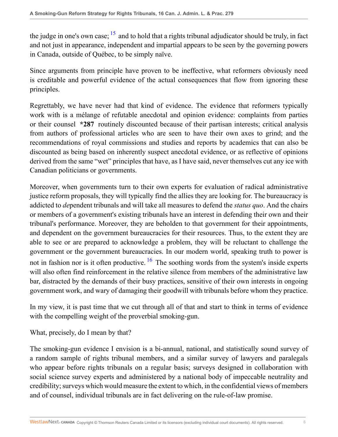<span id="page-5-0"></span>the judge in one's own case;  $15$  and to hold that a rights tribunal adjudicator should be truly, in fact and not just in appearance, independent and impartial appears to be seen by the governing powers in Canada, outside of Québec, to be simply naïve.

Since arguments from principle have proven to be ineffective, what reformers obviously need is creditable and powerful evidence of the actual consequences that flow from ignoring these principles.

Regrettably, we have never had that kind of evidence. The evidence that reformers typically work with is a mélange of refutable anecdotal and opinion evidence: complaints from parties or their counsel **\*287** routinely discounted because of their partisan interests; critical analysis from authors of professional articles who are seen to have their own axes to grind; and the recommendations of royal commissions and studies and reports by academics that can also be discounted as being based on inherently suspect anecdotal evidence, or as reflective of opinions derived from the same "wet" principles that have, as I have said, never themselves cut any ice with Canadian politicians or governments.

Moreover, when governments turn to their own experts for evaluation of radical administrative justice reform proposals, they will typically find the allies they are looking for. The bureaucracy is addicted to *de*pendent tribunals and will take all measures to defend the *status quo*. And the chairs or members of a government's existing tribunals have an interest in defending their own and their tribunal's performance. Moreover, they are beholden to that government for their appointments, and dependent on the government bureaucracies for their resources. Thus, to the extent they are able to see or are prepared to acknowledge a problem, they will be reluctant to challenge the government or the government bureaucracies. In our modern world, speaking truth to power is not in fashion nor is it often productive.  $\frac{16}{16}$  $\frac{16}{16}$  $\frac{16}{16}$  The soothing words from the system's inside experts will also often find reinforcement in the relative silence from members of the administrative law bar, distracted by the demands of their busy practices, sensitive of their own interests in ongoing government work, and wary of damaging their goodwill with tribunals before whom they practice.

<span id="page-5-1"></span>In my view, it is past time that we cut through all of that and start to think in terms of evidence with the compelling weight of the proverbial smoking-gun.

What, precisely, do I mean by that?

The smoking-gun evidence I envision is a bi-annual, national, and statistically sound survey of a random sample of rights tribunal members, and a similar survey of lawyers and paralegals who appear before rights tribunals on a regular basis; surveys designed in collaboration with social science survey experts and administered by a national body of impeccable neutrality and credibility; surveys which would measure the extent to which, in the confidential views of members and of counsel, individual tribunals are in fact delivering on the rule-of-law promise.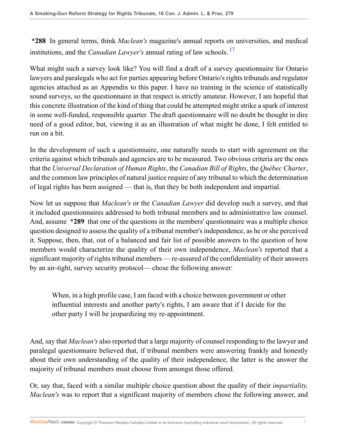<span id="page-6-0"></span>**\*288** In general terms, think *Maclean's* magazine's annual reports on universities, and medical institutions, and the *Canadian Lawyer's* annual rating of law schools. [17](#page-9-9)

What might such a survey look like? You will find a draft of a survey questionnaire for Ontario lawyers and paralegals who act for parties appearing before Ontario's rights tribunals and regulator agencies attached as an Appendix to this paper. I have no training in the science of statistically sound surveys, so the questionnaire in that respect is strictly amateur. However, I am hopeful that this concrete illustration of the kind of thing that could be attempted might strike a spark of interest in some well-funded, responsible quarter. The draft questionnaire will no doubt be thought in dire need of a good editor, but, viewing it as an illustration of what might be done, I felt entitled to run on a bit.

In the development of such a questionnaire, one naturally needs to start with agreement on the criteria against which tribunals and agencies are to be measured. Two obvious criteria are the ones that the *Universal Declaration of Human Rights*, the *Canadian Bill of Rights*, the *Québec Charter*, and the common law principles of natural justice require of any tribunal to which the determination of legal rights has been assigned — that is, that they be both independent and impartial.

Now let us suppose that *Maclean's* or the *Canadian Lawyer* did develop such a survey, and that it included questionnaires addressed to both tribunal members and to administrative law counsel. And, assume **\*289** that one of the questions in the members' questionnaire was a multiple choice question designed to assess the quality of a tribunal member's independence, as he or she perceived it. Suppose, then, that, out of a balanced and fair list of possible answers to the question of how members would characterize the quality of their own independence, *Maclean's* reported that a significant majority of rights tribunal members — re-assured of the confidentiality of their answers by an air-tight, survey security protocol— chose the following answer:

When, in a high profile case, I am faced with a choice between government or other influential interests and another party's rights, I am aware that if I decide for the other party I will be jeopardizing my re-appointment.

And, say that *Maclean's* also reported that a large majority of counsel responding to the lawyer and paralegal questionnaire believed that, if tribunal members were answering frankly and honestly about their own understanding of the quality of their independence, the latter is the answer the majority of tribunal members must choose from amongst those offered.

Or, say that, faced with a similar multiple choice question about the quality of their *impartiality, Maclean's* was to report that a significant majority of members chose the following answer, and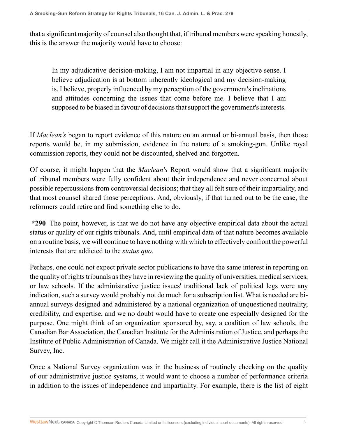that a significant majority of counsel also thought that, if tribunal members were speaking honestly, this is the answer the majority would have to choose:

In my adjudicative decision-making, I am not impartial in any objective sense. I believe adjudication is at bottom inherently ideological and my decision-making is, I believe, properly influenced by my perception of the government's inclinations and attitudes concerning the issues that come before me. I believe that I am supposed to be biased in favour of decisions that support the government's interests.

If *Maclean's* began to report evidence of this nature on an annual or bi-annual basis, then those reports would be, in my submission, evidence in the nature of a smoking-gun. Unlike royal commission reports, they could not be discounted, shelved and forgotten.

Of course, it might happen that the *Maclean's* Report would show that a significant majority of tribunal members were fully confident about their independence and never concerned about possible repercussions from controversial decisions; that they all felt sure of their impartiality, and that most counsel shared those perceptions. And, obviously, if that turned out to be the case, the reformers could retire and find something else to do.

**\*290** The point, however, is that we do not have any objective empirical data about the actual status or quality of our rights tribunals. And, until empirical data of that nature becomes available on a routine basis, we will continue to have nothing with which to effectively confront the powerful interests that are addicted to the *status quo*.

Perhaps, one could not expect private sector publications to have the same interest in reporting on the quality of rights tribunals as they have in reviewing the quality of universities, medical services, or law schools. If the administrative justice issues' traditional lack of political legs were any indication, such a survey would probably not do much for a subscription list. What is needed are biannual surveys designed and administered by a national organization of unquestioned neutrality, credibility, and expertise, and we no doubt would have to create one especially designed for the purpose. One might think of an organization sponsored by, say, a coalition of law schools, the Canadian Bar Association, the Canadian Institute for the Administration of Justice, and perhaps the Institute of Public Administration of Canada. We might call it the Administrative Justice National Survey, Inc.

Once a National Survey organization was in the business of routinely checking on the quality of our administrative justice systems, it would want to choose a number of performance criteria in addition to the issues of independence and impartiality. For example, there is the list of eight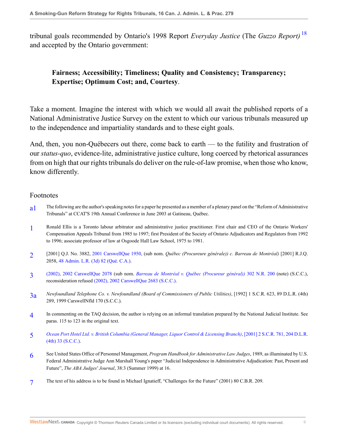tribunal goals recommended by Ontario's 1998 Report *Everyday Justice* (The *Guzzo Report)* [18](#page-10-0) and accepted by the Ontario government:

# <span id="page-8-9"></span>**Fairness; Accessibility; Timeliness; Quality and Consistency; Transparency; Expertise; Optimum Cost; and, Courtesy**.

Take a moment. Imagine the interest with which we would all await the published reports of a National Administrative Justice Survey on the extent to which our various tribunals measured up to the independence and impartiality standards and to these eight goals.

And, then, you non-Québecers out there, come back to earth — to the futility and frustration of our *status-quo*, evidence-lite, administrative justice culture, long coerced by rhetorical assurances from on high that our rights tribunals do deliver on the rule-of-law promise, when those who know, know differently.

#### Footnotes

- <span id="page-8-0"></span>a<sup>1</sup> The following are the author's speaking notes for a paper he presented as a member of a plenary panel on the "Reform of Administrative" Tribunals" at CCAT'S 19th Annual Conference in June 2003 at Gatineau, Québec.
- <span id="page-8-1"></span>[1](#page-0-1) Ronald Ellis is a Toronto labour arbitrator and administrative justice practitioner. First chair and CEO of the Ontario Workers' Compensation Appeals Tribunal from 1985 to 1997; first President of the Society of Ontario Adjudicators and Regulators from 1992 to 1996; associate professor of law at Osgoode Hall Law School, 1975 to 1981.
- <span id="page-8-2"></span>[2](#page-1-0) [2001] Q.J. No. 3882, [2001 CarswellQue 1950,](http://nextcanada.westlaw.com/Link/Document/FullText?findType=Y&serNum=2001458530&pubNum=5481&originatingDoc=Ie2ec0571384111db8382aef8d8e33c97&refType=IC&originationContext=document&vr=3.0&rs=cblt1.0&transitionType=DocumentItem&contextData=(sc.Search)) (sub nom. *Québec (Procureure générale)) c. Barreau de Montréal)* [2001] R.J.Q. 2058, [48 Admin. L.R. \(3d\) 82 \(Qué. C.A.\)](http://nextcanada.westlaw.com/Link/Document/FullText?findType=Y&serNum=2001458530&pubNum=5490&originatingDoc=Ie2ec0571384111db8382aef8d8e33c97&refType=IR&originationContext=document&vr=3.0&rs=cblt1.0&transitionType=DocumentItem&contextData=(sc.Search)).
- <span id="page-8-3"></span>[3](#page-1-1) [\(2002\), 2002 CarswellQue 2078](http://nextcanada.westlaw.com/Link/Document/FullText?findType=Y&serNum=2002514900&pubNum=5481&originatingDoc=Ie2ec0571384111db8382aef8d8e33c97&refType=IC&originationContext=document&vr=3.0&rs=cblt1.0&transitionType=DocumentItem&contextData=(sc.Search)) (sub nom. *[Barreau de Montréal v. Québec \(Procureur général\)\)](http://nextcanada.westlaw.com/Link/Document/FullText?findType=Y&pubNum=5466&cite=302NRCA200&originatingDoc=Ie2ec0571384111db8382aef8d8e33c97&refType=IC&originationContext=document&vr=3.0&rs=cblt1.0&transitionType=DocumentItem&contextData=(sc.Search))* 302 N.R. 200 (note) (S.C.C.), reconsideration refused [\(2002\), 2002 CarswellQue 2683 \(S.C.C.\)](http://nextcanada.westlaw.com/Link/Document/FullText?findType=Y&serNum=2002766895&pubNum=5481&originatingDoc=Ie2ec0571384111db8382aef8d8e33c97&refType=IC&originationContext=document&vr=3.0&rs=cblt1.0&transitionType=DocumentItem&contextData=(sc.Search)).
- <span id="page-8-4"></span>[3a](#page-1-2) *Newfoundland Telephone Co. v. Newfoundland (Board of Commissioners of Public Utilities)*, [1992] 1 S.C.R. 623, 89 D.L.R. (4th) 289, 1999 CarswellNfld 170 (S.C.C.).
- <span id="page-8-5"></span>[4](#page-1-3) In commenting on the TAQ decision, the author is relying on an informal translation prepared by the National Judicial Institute. See paras. 115 to 123 in the original text.
- <span id="page-8-6"></span>[5](#page-2-0) *[Ocean Port Hotel Ltd. v. British Columbia \(General Manager, Liquor Control & Licensing Branch\)](http://nextcanada.westlaw.com/Link/Document/FullText?findType=Y&serNum=2001458743&pubNum=5156&originatingDoc=Ie2ec0571384111db8382aef8d8e33c97&refType=IC&originationContext=document&vr=3.0&rs=cblt1.0&transitionType=DocumentItem&contextData=(sc.Search))*, [2001] 2 S.C.R. 781, 204 D.L.R. [\(4th\) 33 \(S.C.C.\).](http://nextcanada.westlaw.com/Link/Document/FullText?findType=Y&serNum=2001458743&pubNum=5156&originatingDoc=Ie2ec0571384111db8382aef8d8e33c97&refType=IC&originationContext=document&vr=3.0&rs=cblt1.0&transitionType=DocumentItem&contextData=(sc.Search))
- <span id="page-8-7"></span>[6](#page-2-1) See United States Office of Personnel Management, *Program Handbook for Administrative Law Judges*, 1989, as illuminated by U.S. Federal Administrative Judge Ann Marshall Young's paper "Judicial Independence in Administrative Adjudication: Past, Present and Future", *The ABA Judges' Journal*, 38:3 (Summer 1999) at 16.
- <span id="page-8-8"></span>[7](#page-3-0) The text of his address is to be found in Michael Ignatieff, "Challenges for the Future" (2001) 80 C.B.R. 209.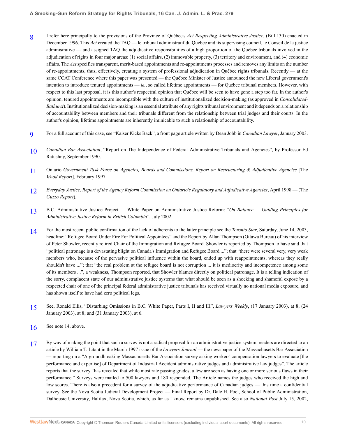- <span id="page-9-0"></span>[8](#page-3-1) I refer here principally to the provisions of the Province of Québec's *Act Respecting Administrative Justice*, (Bill 130) enacted in December 1996. This *Act* created the TAQ — le tribunal administratif du Québec and its supervising council, le Conseil de la justice administrative — and assigned TAQ the adjudicative responsibilities of a high proportion of the Québec tribunals involved in the adjudication of rights in four major areas: (1) social affairs, (2) immovable property, (3) territory and environment, and (4) economic affairs. The *Act* specifies transparent, merit-based appointments and re-appointments processes and removes any limits on the number of re-appointments, thus, effectively, creating a system of professional adjudication in Québec rights tribunals. Recently — at the same CCAT Conference where this paper was presented — the Québec Minister of Justice announced the new Liberal government's intention to introduce tenured appointments — *ie.*, so called lifetime appointments — for Québec tribunal members. However, with respect to this last proposal, it is this author's respectful opinion that Québec will be seen to have gone a step too far. In the author's opinion, tenured appointments are incompatible with the culture of institutionalized decision-making (as approved in *Consolidated-Bathurst*). Institutionalized decision-making is an essential attribute of any rights tribunal environment and it depends on a relationship of accountability between members and their tribunals different from the relationship between trial judges and their courts. In the author's opinion, lifetime appointments are inherently iminicable to such a relationship of accountability.
- <span id="page-9-1"></span>[9](#page-4-0) For a full account of this case, see "Kaiser Kicks Back", a front page article written by Dean Jobb in *Canadian Lawyer*, January 2003.
- <span id="page-9-2"></span>[10](#page-4-1) *Canadian Bar Association*, "Report on The Independence of Federal Administrative Tribunals and Agencies", by Professor Ed Ratushny, September 1990.
- <span id="page-9-3"></span>[11](#page-4-2) Ontario *Government Task Force on Agencies, Boards and Commissions, Report on Restructuring & Adjudicative Agencies* [The *Wood Report*], February 1997.
- <span id="page-9-4"></span>[12](#page-4-3) *Everyday Justice, Report of the Agency Reform Commission on Ontario's Regulatory and Adjudicative Agencies*, April 1998 — (The *Guzzo Report*).
- <span id="page-9-5"></span>[13](#page-4-4) B.C. Administrative Justice Project — White Paper on Administrative Justice Reform: "*On Balance — Guiding Principles for Administrative Justice Reform in British Columbia*", July 2002.
- <span id="page-9-6"></span>[14](#page-4-5) For the most recent public confirmation of the lack of adherents to the latter principle see the *Toronto Star*, Saturday, June 14, 2003, headline: "Refugee Board Under Fire For Political Appointees" and the Report by Allan Thompson (Ottawa Bureau) of his interview of Peter Showler, recently retired Chair of the Immigration and Refugee Board. Showler is reported by Thompson to have said that "political patronage is a devastating blight on Canada's Immigration and Refugee Board ..."; that "there were several very, very weak members who, because of the pervasive political influence within the board, ended up with reappointments, whereas they really shouldn't have ..."; that "the real problem at the refugee board is not corruption ... it is mediocrity and incompetence among some of its members ...", a weakness, Thompson reported, that Showler blames directly on political patronage. It is a telling indication of the sorry, complacent state of our administrative justice systems that what should be seen as a shocking and shameful exposé by a respected chair of one of the principal federal administrative justice tribunals has received virtually no national media exposure, and has shown itself to have had zero political legs.
- <span id="page-9-7"></span>[15](#page-5-0) See, Ronald Ellis, "Disturbing Omissions in B.C. White Paper, Parts I, II and III", *Lawyers Weekly*, (17 January 2003), at 8; (24 January 2003), at 8; and (31 January 2003), at 6.
- <span id="page-9-8"></span>[16](#page-5-1) See note 14, above.
- <span id="page-9-9"></span>[17](#page-6-0) By way of making the point that such a survey is not a radical proposal for an administrative justice system, readers are directed to an article by William T. Litant in the March 1997 issue of the *Lawyers Journal* — the newspaper of the Massachusetts Bar Association — reporting on a "A groundbreaking Massachusetts Bar Association survey asking workers' compensation lawyers to evaluate [the performance and expertise] of Department of Industrial Accident administrative judges and administrative law judges". The article reports that the survey "has revealed that while most rate passing grades, a few are seen as having one or more serious flaws in their performance." Surveys were mailed to 500 lawyers and 180 responded. The Article names the judges who received the high and low scores. There is also a precedent for a survey of the adjudicative performance of Canadian judges — this time a confidential survey. See the Nova Scotia Judicial Development Project — Final Report by Dr. Dale H. Poel, School of Public Administration, Dalhousie University, Halifax, Nova Scotia, which, as far as I know, remains unpublished. See also *National Post* July 15, 2002,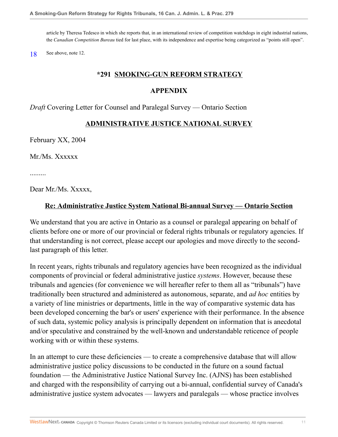article by Theresa Tedesco in which she reports that, in an international review of competition watchdogs in eight industrial nations, the *Canadian Competition Bureau* tied for last place, with its independence and expertise being categorized as "points still open".

<span id="page-10-0"></span>[18](#page-8-9) See above, note 12.

#### **\*291 SMOKING-GUN REFORM STRATEGY**

#### **APPENDIX**

*Draft* Covering Letter for Counsel and Paralegal Survey — Ontario Section

#### **ADMINISTRATIVE JUSTICE NATIONAL SURVEY**

February XX, 2004

Mr./Ms. Xxxxxx

.........

Dear Mr./Ms. Xxxxx,

#### **Re: Administrative Justice System National Bi-annual Survey — Ontario Section**

We understand that you are active in Ontario as a counsel or paralegal appearing on behalf of clients before one or more of our provincial or federal rights tribunals or regulatory agencies. If that understanding is not correct, please accept our apologies and move directly to the secondlast paragraph of this letter.

In recent years, rights tribunals and regulatory agencies have been recognized as the individual components of provincial or federal administrative justice *systems*. However, because these tribunals and agencies (for convenience we will hereafter refer to them all as "tribunals") have traditionally been structured and administered as autonomous, separate, and *ad hoc* entities by a variety of line ministries or departments, little in the way of comparative systemic data has been developed concerning the bar's or users' experience with their performance. In the absence of such data, systemic policy analysis is principally dependent on information that is anecdotal and/or speculative and constrained by the well-known and understandable reticence of people working with or within these systems.

In an attempt to cure these deficiencies — to create a comprehensive database that will allow administrative justice policy discussions to be conducted in the future on a sound factual foundation — the Administrative Justice National Survey Inc. (AJNS) has been established and charged with the responsibility of carrying out a bi-annual, confidential survey of Canada's administrative justice system advocates — lawyers and paralegals — whose practice involves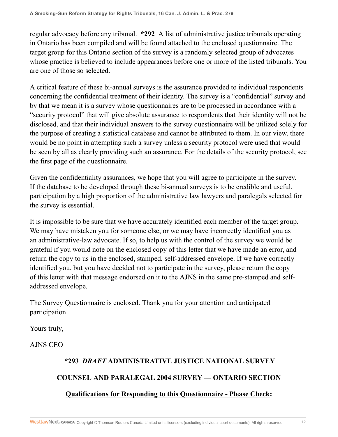regular advocacy before any tribunal. **\*292** A list of administrative justice tribunals operating in Ontario has been compiled and will be found attached to the enclosed questionnaire. The target group for this Ontario section of the survey is a randomly selected group of advocates whose practice is believed to include appearances before one or more of the listed tribunals. You are one of those so selected.

A critical feature of these bi-annual surveys is the assurance provided to individual respondents concerning the confidential treatment of their identity. The survey is a "confidential" survey and by that we mean it is a survey whose questionnaires are to be processed in accordance with a "security protocol" that will give absolute assurance to respondents that their identity will not be disclosed, and that their individual answers to the survey questionnaire will be utilized solely for the purpose of creating a statistical database and cannot be attributed to them. In our view, there would be no point in attempting such a survey unless a security protocol were used that would be seen by all as clearly providing such an assurance. For the details of the security protocol, see the first page of the questionnaire.

Given the confidentiality assurances, we hope that you will agree to participate in the survey. If the database to be developed through these bi-annual surveys is to be credible and useful, participation by a high proportion of the administrative law lawyers and paralegals selected for the survey is essential.

It is impossible to be sure that we have accurately identified each member of the target group. We may have mistaken you for someone else, or we may have incorrectly identified you as an administrative-law advocate. If so, to help us with the control of the survey we would be grateful if you would note on the enclosed copy of this letter that we have made an error, and return the copy to us in the enclosed, stamped, self-addressed envelope. If we have correctly identified you, but you have decided not to participate in the survey, please return the copy of this letter with that message endorsed on it to the AJNS in the same pre-stamped and selfaddressed envelope.

The Survey Questionnaire is enclosed. Thank you for your attention and anticipated participation.

Yours truly,

AJNS CEO

# **\*293** *DRAFT* **ADMINISTRATIVE JUSTICE NATIONAL SURVEY**

# **COUNSEL AND PARALEGAL 2004 SURVEY — ONTARIO SECTION**

# **Qualifications for Responding to this Questionnaire - Please Check:**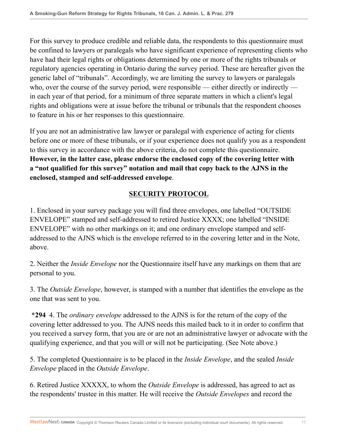For this survey to produce credible and reliable data, the respondents to this questionnaire must be confined to lawyers or paralegals who have significant experience of representing clients who have had their legal rights or obligations determined by one or more of the rights tribunals or regulatory agencies operating in Ontario during the survey period. These are hereafter given the generic label of "tribunals". Accordingly, we are limiting the survey to lawyers or paralegals who, over the course of the survey period, were responsible — either directly or indirectly in each year of that period, for a minimum of three separate matters in which a client's legal rights and obligations were at issue before the tribunal or tribunals that the respondent chooses to feature in his or her responses to this questionnaire.

If you are not an administrative law lawyer or paralegal with experience of acting for clients before one or more of these tribunals, or if your experience does not qualify you as a respondent to this survey in accordance with the above criteria, do not complete this questionnaire. **However, in the latter case, please endorse the enclosed copy of the covering letter with a "not qualified for this survey" notation and mail that copy back to the AJNS in the enclosed, stamped and self-addressed envelope**.

# **SECURITY PROTOCOL**

1. Enclosed in your survey package you will find three envelopes, one labelled "OUTSIDE ENVELOPE" stamped and self-addressed to retired Justice XXXX; one labelled "INSIDE ENVELOPE" with no other markings on it; and one ordinary envelope stamped and selfaddressed to the AJNS which is the envelope referred to in the covering letter and in the Note, above.

2. Neither the *Inside Envelope* nor the Questionnaire itself have any markings on them that are personal to you.

3. The *Outside Envelope*, however, is stamped with a number that identifies the envelope as the one that was sent to you.

**\*294** 4. The *ordinary envelope* addressed to the AJNS is for the return of the copy of the covering letter addressed to you. The AJNS needs this mailed back to it in order to confirm that you received a survey form, that you are or are not an administrative lawyer or advocate with the qualifying experience, and that you will or will not be participating. (See Note above.)

5. The completed Questionnaire is to be placed in the *Inside Envelope*, and the sealed *Inside Envelope* placed in the *Outside Envelope*.

6. Retired Justice XXXXX, to whom the *Outside Envelope* is addressed, has agreed to act as the respondents' trustee in this matter. He will receive the *Outside Envelopes* and record the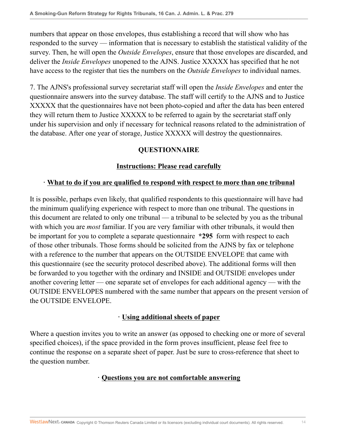numbers that appear on those envelopes, thus establishing a record that will show who has responded to the survey — information that is necessary to establish the statistical validity of the survey. Then, he will open the *Outside Envelopes*, ensure that those envelopes are discarded, and deliver the *Inside Envelopes* unopened to the AJNS. Justice XXXXX has specified that he not have access to the register that ties the numbers on the *Outside Envelopes* to individual names.

7. The AJNS's professional survey secretariat staff will open the *Inside Envelopes* and enter the questionnaire answers into the survey database. The staff will certify to the AJNS and to Justice XXXXX that the questionnaires have not been photo-copied and after the data has been entered they will return them to Justice XXXXX to be referred to again by the secretariat staff only under his supervision and only if necessary for technical reasons related to the administration of the database. After one year of storage, Justice XXXXX will destroy the questionnaires.

# **QUESTIONNAIRE**

# **Instructions: Please read carefully**

## **· What to do if you are qualified to respond with respect to more than one tribunal**

It is possible, perhaps even likely, that qualified respondents to this questionnaire will have had the minimum qualifying experience with respect to more than one tribunal. The questions in this document are related to only one tribunal — a tribunal to be selected by you as the tribunal with which you are *most* familiar. If you are very familiar with other tribunals, it would then be important for you to complete a separate questionnaire **\*295** form with respect to each of those other tribunals. Those forms should be solicited from the AJNS by fax or telephone with a reference to the number that appears on the OUTSIDE ENVELOPE that came with this questionnaire (see the security protocol described above). The additional forms will then be forwarded to you together with the ordinary and INSIDE and OUTSIDE envelopes under another covering letter — one separate set of envelopes for each additional agency — with the OUTSIDE ENVELOPES numbered with the same number that appears on the present version of the OUTSIDE ENVELOPE.

## **· Using additional sheets of paper**

Where a question invites you to write an answer (as opposed to checking one or more of several specified choices), if the space provided in the form proves insufficient, please feel free to continue the response on a separate sheet of paper. Just be sure to cross-reference that sheet to the question number.

## **· Questions you are not comfortable answering**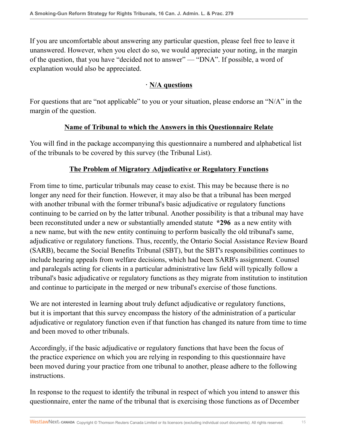If you are uncomfortable about answering any particular question, please feel free to leave it unanswered. However, when you elect do so, we would appreciate your noting, in the margin of the question, that you have "decided not to answer" — "DNA". If possible, a word of explanation would also be appreciated.

## **· N/A questions**

For questions that are "not applicable" to you or your situation, please endorse an "N/A" in the margin of the question.

## **Name of Tribunal to which the Answers in this Questionnaire Relate**

You will find in the package accompanying this questionnaire a numbered and alphabetical list of the tribunals to be covered by this survey (the Tribunal List).

# **The Problem of Migratory Adjudicative or Regulatory Functions**

From time to time, particular tribunals may cease to exist. This may be because there is no longer any need for their function. However, it may also be that a tribunal has been merged with another tribunal with the former tribunal's basic adjudicative or regulatory functions continuing to be carried on by the latter tribunal. Another possibility is that a tribunal may have been reconstituted under a new or substantially amended statute **\*296** as a new entity with a new name, but with the new entity continuing to perform basically the old tribunal's same, adjudicative or regulatory functions. Thus, recently, the Ontario Social Assistance Review Board (SARB), became the Social Benefits Tribunal (SBT), but the SBT's responsibilities continues to include hearing appeals from welfare decisions, which had been SARB's assignment. Counsel and paralegals acting for clients in a particular administrative law field will typically follow a tribunal's basic adjudicative or regulatory functions as they migrate from institution to institution and continue to participate in the merged or new tribunal's exercise of those functions.

We are not interested in learning about truly defunct adjudicative or regulatory functions, but it is important that this survey encompass the history of the administration of a particular adjudicative or regulatory function even if that function has changed its nature from time to time and been moved to other tribunals.

Accordingly, if the basic adjudicative or regulatory functions that have been the focus of the practice experience on which you are relying in responding to this questionnaire have been moved during your practice from one tribunal to another, please adhere to the following instructions.

In response to the request to identify the tribunal in respect of which you intend to answer this questionnaire, enter the name of the tribunal that is exercising those functions as of December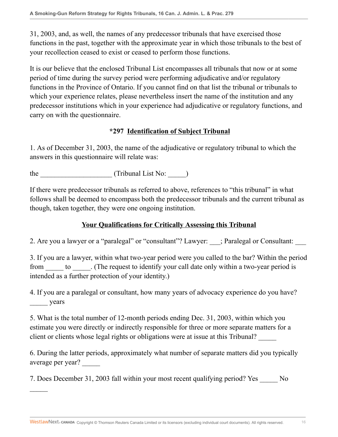31, 2003, and, as well, the names of any predecessor tribunals that have exercised those functions in the past, together with the approximate year in which those tribunals to the best of your recollection ceased to exist or ceased to perform those functions.

It is our believe that the enclosed Tribunal List encompasses all tribunals that now or at some period of time during the survey period were performing adjudicative and/or regulatory functions in the Province of Ontario. If you cannot find on that list the tribunal or tribunals to which your experience relates, please nevertheless insert the name of the institution and any predecessor institutions which in your experience had adjudicative or regulatory functions, and carry on with the questionnaire.

## **\*297 Identification of Subject Tribunal**

1. As of December 31, 2003, the name of the adjudicative or regulatory tribunal to which the answers in this questionnaire will relate was:

the  $(Tribunal List No: )$ 

 $\frac{1}{2}$ 

If there were predecessor tribunals as referred to above, references to "this tribunal" in what follows shall be deemed to encompass both the predecessor tribunals and the current tribunal as though, taken together, they were one ongoing institution.

## **Your Qualifications for Critically Assessing this Tribunal**

2. Are you a lawyer or a "paralegal" or "consultant"? Lawyer:  $\therefore$  Paralegal or Consultant:

3. If you are a lawyer, within what two-year period were you called to the bar? Within the period from to  $\blacksquare$ . (The request to identify your call date only within a two-year period is intended as a further protection of your identity.)

4. If you are a paralegal or consultant, how many years of advocacy experience do you have? \_\_\_\_\_ years

5. What is the total number of 12-month periods ending Dec. 31, 2003, within which you estimate you were directly or indirectly responsible for three or more separate matters for a client or clients whose legal rights or obligations were at issue at this Tribunal? \_\_\_\_\_

6. During the latter periods, approximately what number of separate matters did you typically average per year? \_\_\_\_\_

7. Does December 31, 2003 fall within your most recent qualifying period? Yes No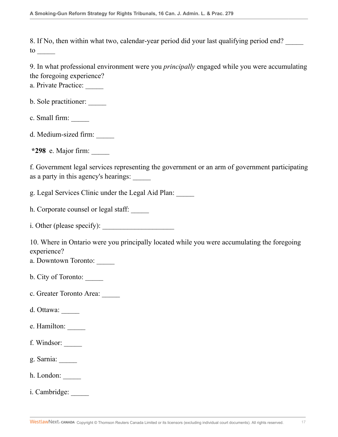8. If No, then within what two, calendar-year period did your last qualifying period end?  $\frac{10}{\sqrt{2}}$ 

9. In what professional environment were you *principally* engaged while you were accumulating the foregoing experience?

a. Private Practice:

b. Sole practitioner: \_\_\_\_\_

c. Small firm:

d. Medium-sized firm:

**\*298** e. Major firm: \_\_\_\_\_

f. Government legal services representing the government or an arm of government participating as a party in this agency's hearings:

g. Legal Services Clinic under the Legal Aid Plan: \_\_\_\_\_

h. Corporate counsel or legal staff:

i. Other (please specify):

10. Where in Ontario were you principally located while you were accumulating the foregoing experience?

a. Downtown Toronto:

b. City of Toronto:

c. Greater Toronto Area:

d. Ottawa:

e. Hamilton:

f. Windsor: \_\_\_\_\_

g. Sarnia: \_\_\_\_\_

h. London: \_\_\_\_\_

i. Cambridge: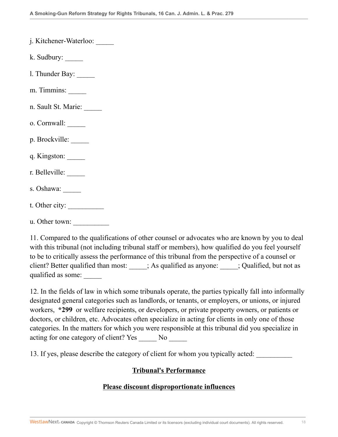| j. Kitchener-Waterloo: |  |
|------------------------|--|
|                        |  |

- k. Sudbury: \_\_\_\_\_
- l. Thunder Bay: \_\_\_\_\_
- m. Timmins:
- n. Sault St. Marie:
- o. Cornwall: \_\_\_\_\_
- p. Brockville:
- q. Kingston: \_\_\_\_\_
- r. Belleville:
- s. Oshawa:
- t. Other city:
- u. Other town: \_\_\_\_\_\_\_\_\_\_

11. Compared to the qualifications of other counsel or advocates who are known by you to deal with this tribunal (not including tribunal staff or members), how qualified do you feel yourself to be to critically assess the performance of this tribunal from the perspective of a counsel or client? Better qualified than most: \_\_\_\_\_; As qualified as anyone: \_\_\_\_\_; Qualified, but not as qualified as some:

12. In the fields of law in which some tribunals operate, the parties typically fall into informally designated general categories such as landlords, or tenants, or employers, or unions, or injured workers, **\*299** or welfare recipients, or developers, or private property owners, or patients or doctors, or children, etc. Advocates often specialize in acting for clients in only one of those categories. In the matters for which you were responsible at this tribunal did you specialize in acting for one category of client? Yes No

13. If yes, please describe the category of client for whom you typically acted:

#### **Tribunal's Performance**

#### **Please discount disproportionate influences**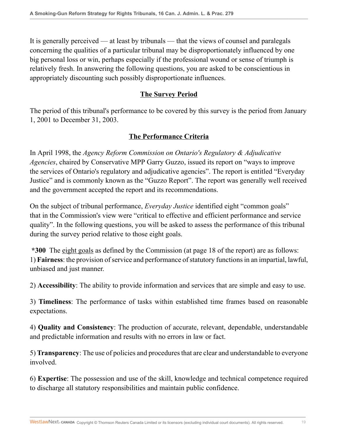It is generally perceived — at least by tribunals — that the views of counsel and paralegals concerning the qualities of a particular tribunal may be disproportionately influenced by one big personal loss or win, perhaps especially if the professional wound or sense of triumph is relatively fresh. In answering the following questions, you are asked to be conscientious in appropriately discounting such possibly disproportionate influences.

# **The Survey Period**

The period of this tribunal's performance to be covered by this survey is the period from January 1, 2001 to December 31, 2003.

# **The Performance Criteria**

In April 1998, the *Agency Reform Commission on Ontario's Regulatory & Adjudicative Agencies*, chaired by Conservative MPP Garry Guzzo, issued its report on "ways to improve the services of Ontario's regulatory and adjudicative agencies". The report is entitled "Everyday Justice" and is commonly known as the "Guzzo Report". The report was generally well received and the government accepted the report and its recommendations.

On the subject of tribunal performance, *Everyday Justice* identified eight "common goals" that in the Commission's view were "critical to effective and efficient performance and service quality". In the following questions, you will be asked to assess the performance of this tribunal during the survey period relative to those eight goals.

**\*300** The eight goals as defined by the Commission (at page 18 of the report) are as follows: 1) **Fairness**: the provision of service and performance of statutory functions in an impartial, lawful, unbiased and just manner.

2) **Accessibility**: The ability to provide information and services that are simple and easy to use.

3) **Timeliness**: The performance of tasks within established time frames based on reasonable expectations.

4) **Quality and Consistency**: The production of accurate, relevant, dependable, understandable and predictable information and results with no errors in law or fact.

5) **Transparency**: The use of policies and procedures that are clear and understandable to everyone involved.

6) **Expertise**: The possession and use of the skill, knowledge and technical competence required to discharge all statutory responsibilities and maintain public confidence.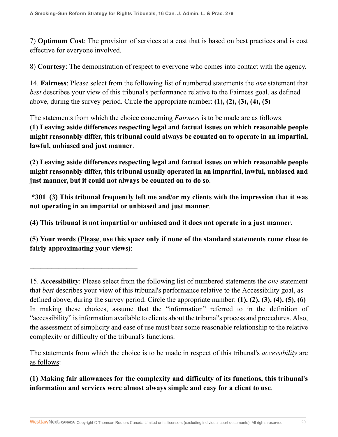7) **Optimum Cost**: The provision of services at a cost that is based on best practices and is cost effective for everyone involved.

8) **Courtesy**: The demonstration of respect to everyone who comes into contact with the agency.

14. **Fairness**: Please select from the following list of numbered statements the *one* statement that *best* describes your view of this tribunal's performance relative to the Fairness goal, as defined above, during the survey period. Circle the appropriate number: **(1), (2), (3), (4), (5)**

The statements from which the choice concerning *Fairness* is to be made are as follows: **(1) Leaving aside differences respecting legal and factual issues on which reasonable people might reasonably differ, this tribunal could always be counted on to operate in an impartial, lawful, unbiased and just manner**.

**(2) Leaving aside differences respecting legal and factual issues on which reasonable people might reasonably differ, this tribunal usually operated in an impartial, lawful, unbiased and just manner, but it could not always be counted on to do so**.

**\*301 (3) This tribunal frequently left me and/or my clients with the impression that it was not operating in an impartial or unbiased and just manner**.

**(4) This tribunal is not impartial or unbiased and it does not operate in a just manner**.

 $\mathcal{L}_\text{max}$  , where  $\mathcal{L}_\text{max}$  is the set of the set of the set of the set of the set of the set of the set of the set of the set of the set of the set of the set of the set of the set of the set of the set of the se

**(5) Your words (Please**, **use this space only if none of the standard statements come close to fairly approximating your views)**:

The statements from which the choice is to be made in respect of this tribunal's *accessibility* are as follows:

**(1) Making fair allowances for the complexity and difficulty of its functions, this tribunal's information and services were almost always simple and easy for a client to use**.

<sup>15.</sup> **Accessibility**: Please select from the following list of numbered statements the *one* statement that *best* describes your view of this tribunal's performance relative to the Accessibility goal, as defined above, during the survey period. Circle the appropriate number: **(1), (2), (3), (4), (5), (6)** In making these choices, assume that the "information" referred to in the definition of "accessibility" is information available to clients about the tribunal's process and procedures. Also, the assessment of simplicity and ease of use must bear some reasonable relationship to the relative complexity or difficulty of the tribunal's functions.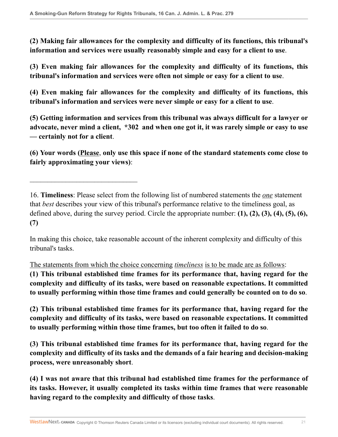$\mathcal{L}_\text{max}$  , where  $\mathcal{L}_\text{max}$  is the set of the set of the set of the set of the set of the set of the set of the set of the set of the set of the set of the set of the set of the set of the set of the set of the se

**(2) Making fair allowances for the complexity and difficulty of its functions, this tribunal's information and services were usually reasonably simple and easy for a client to use**.

**(3) Even making fair allowances for the complexity and difficulty of its functions, this tribunal's information and services were often not simple or easy for a client to use**.

**(4) Even making fair allowances for the complexity and difficulty of its functions, this tribunal's information and services were never simple or easy for a client to use**.

**(5) Getting information and services from this tribunal was always difficult for a lawyer or advocate, never mind a client, \*302 and when one got it, it was rarely simple or easy to use — certainly not for a client**.

**(6) Your words (Please**, **only use this space if none of the standard statements come close to fairly approximating your views)**:

In making this choice, take reasonable account of the inherent complexity and difficulty of this tribunal's tasks.

The statements from which the choice concerning *timeliness* is to be made are as follows:

**(1) This tribunal established time frames for its performance that, having regard for the complexity and difficulty of its tasks, were based on reasonable expectations. It committed to usually performing within those time frames and could generally be counted on to do so**.

**(2) This tribunal established time frames for its performance that, having regard for the complexity and difficulty of its tasks, were based on reasonable expectations. It committed to usually performing within those time frames, but too often it failed to do so**.

**(3) This tribunal established time frames for its performance that, having regard for the complexity and difficulty of its tasks and the demands of a fair hearing and decision-making process, were unreasonably short**.

**(4) I was not aware that this tribunal had established time frames for the performance of its tasks. However, it usually completed its tasks within time frames that were reasonable having regard to the complexity and difficulty of those tasks**.

<sup>16.</sup> **Timeliness**: Please select from the following list of numbered statements the *one* statement that *best* describes your view of this tribunal's performance relative to the timeliness goal, as defined above, during the survey period. Circle the appropriate number: **(1), (2), (3), (4), (5), (6), (7)**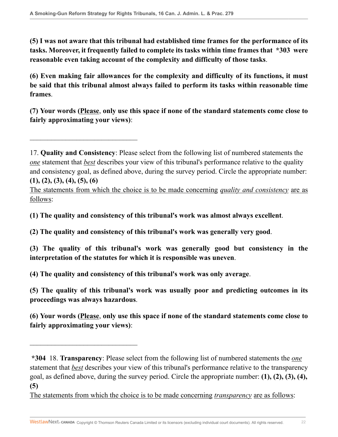$\mathcal{L}_\text{max}$  , where  $\mathcal{L}_\text{max}$  is the set of the set of the set of the set of the set of the set of the set of the set of the set of the set of the set of the set of the set of the set of the set of the set of the se

 $\mathcal{L}_\text{max}$  , where  $\mathcal{L}_\text{max}$  is the set of the set of the set of the set of the set of the set of the set of the set of the set of the set of the set of the set of the set of the set of the set of the set of the se

**(5) I was not aware that this tribunal had established time frames for the performance of its tasks. Moreover, it frequently failed to complete its tasks within time frames that \*303 were reasonable even taking account of the complexity and difficulty of those tasks**.

**(6) Even making fair allowances for the complexity and difficulty of its functions, it must be said that this tribunal almost always failed to perform its tasks within reasonable time frames**.

**(7) Your words (Please**, **only use this space if none of the standard statements come close to fairly approximating your views)**:

The statements from which the choice is to be made concerning *quality and consistency* are as follows:

**(1) The quality and consistency of this tribunal's work was almost always excellent**.

**(2) The quality and consistency of this tribunal's work was generally very good**.

**(3) The quality of this tribunal's work was generally good but consistency in the interpretation of the statutes for which it is responsible was uneven**.

**(4) The quality and consistency of this tribunal's work was only average**.

**(5) The quality of this tribunal's work was usually poor and predicting outcomes in its proceedings was always hazardous**.

**(6) Your words (Please**, **only use this space if none of the standard statements come close to fairly approximating your views)**:

The statements from which the choice is to be made concerning *transparency* are as follows:

<sup>17.</sup> **Quality and Consistency**: Please select from the following list of numbered statements the *one* statement that *best* describes your view of this tribunal's performance relative to the quality and consistency goal, as defined above, during the survey period. Circle the appropriate number: **(1), (2), (3), (4), (5), (6)**

**<sup>\*304</sup>** 18. **Transparency**: Please select from the following list of numbered statements the *one* statement that *best* describes your view of this tribunal's performance relative to the transparency goal, as defined above, during the survey period. Circle the appropriate number: **(1), (2), (3), (4), (5)**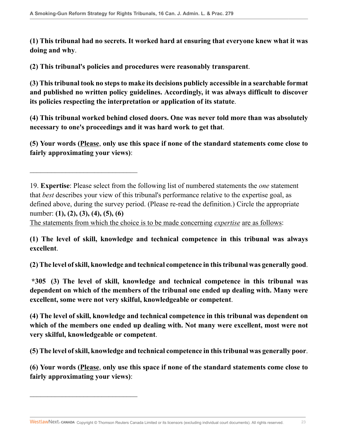**(1) This tribunal had no secrets. It worked hard at ensuring that everyone knew what it was doing and why**.

**(2) This tribunal's policies and procedures were reasonably transparent**.

 $\overline{\phantom{a}}$  , where  $\overline{\phantom{a}}$  , where  $\overline{\phantom{a}}$  , where  $\overline{\phantom{a}}$  , where  $\overline{\phantom{a}}$ 

 $\mathcal{L}_\text{max}$  , where  $\mathcal{L}_\text{max}$  is the set of the set of the set of the set of the set of the set of the set of the set of the set of the set of the set of the set of the set of the set of the set of the set of the se

**(3) This tribunal took no steps to make its decisions publicly accessible in a searchable format and published no written policy guidelines. Accordingly, it was always difficult to discover its policies respecting the interpretation or application of its statute**.

**(4) This tribunal worked behind closed doors. One was never told more than was absolutely necessary to one's proceedings and it was hard work to get that**.

**(5) Your words (Please**, **only use this space if none of the standard statements come close to fairly approximating your views)**:

The statements from which the choice is to be made concerning *expertise* are as follows:

**(1) The level of skill, knowledge and technical competence in this tribunal was always excellent**.

**(2) The level of skill, knowledge and technical competence in this tribunal was generally good**.

**\*305 (3) The level of skill, knowledge and technical competence in this tribunal was dependent on which of the members of the tribunal one ended up dealing with. Many were excellent, some were not very skilful, knowledgeable or competent**.

**(4) The level of skill, knowledge and technical competence in this tribunal was dependent on which of the members one ended up dealing with. Not many were excellent, most were not very skilful, knowledgeable or competent**.

**(5) The level of skill, knowledge and technical competence in this tribunal was generally poor**.

**(6) Your words (Please**, **only use this space if none of the standard statements come close to fairly approximating your views)**:

<sup>19.</sup> **Expertise**: Please select from the following list of numbered statements the *one* statement that *best* describes your view of this tribunal's performance relative to the expertise goal, as defined above, during the survey period. (Please re-read the definition.) Circle the appropriate number: **(1), (2), (3), (4), (5), (6)**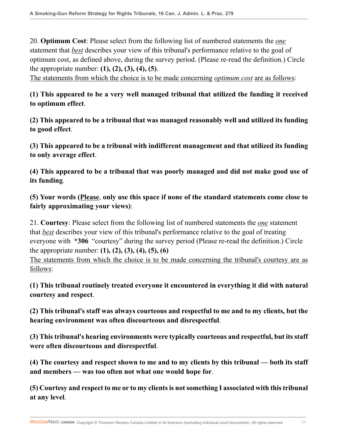20. **Optimum Cost**: Please select from the following list of numbered statements the *one* statement that *best* describes your view of this tribunal's performance relative to the goal of optimum cost, as defined above, during the survey period. (Please re-read the definition.) Circle the appropriate number: **(1), (2), (3), (4), (5)**.

The statements from which the choice is to be made concerning *optimum cost* are as follows:

**(1) This appeared to be a very well managed tribunal that utilized the funding it received to optimum effect**.

**(2) This appeared to be a tribunal that was managed reasonably well and utilized its funding to good effect**.

**(3) This appeared to be a tribunal with indifferent management and that utilized its funding to only average effect**.

**(4) This appeared to be a tribunal that was poorly managed and did not make good use of its funding**.

**(5) Your words (Please**, **only use this space if none of the standard statements come close to fairly approximating your views)**:

21. **Courtesy**: Please select from the following list of numbered statements the *one* statement that *best* describes your view of this tribunal's performance relative to the goal of treating everyone with **\*306** "courtesy" during the survey period (Please re-read the definition.) Circle the appropriate number: **(1), (2), (3), (4), (5), (6)**

The statements from which the choice is to be made concerning the tribunal's courtesy are as follows:

**(1) This tribunal routinely treated everyone it encountered in everything it did with natural courtesy and respect**.

**(2) This tribunal's staff was always courteous and respectful to me and to my clients, but the hearing environment was often discourteous and disrespectful**.

**(3) This tribunal's hearing environments were typically courteous and respectful, but its staff were often discourteous and disrespectful**.

**(4) The courtesy and respect shown to me and to my clients by this tribunal — both its staff and members — was too often not what one would hope for**.

**(5) Courtesy and respect to me or to my clients is not something I associated with this tribunal at any level**.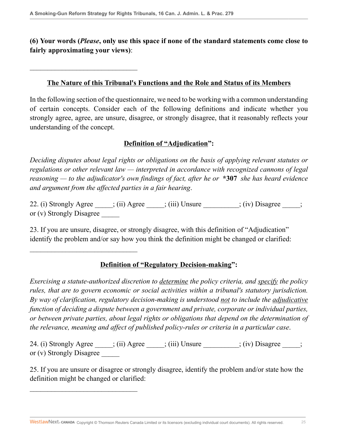$\overline{\phantom{a}}$  , where  $\overline{\phantom{a}}$  , where  $\overline{\phantom{a}}$  , where  $\overline{\phantom{a}}$  , where  $\overline{\phantom{a}}$ 

 $\overline{\phantom{a}}$  , where  $\overline{\phantom{a}}$  , where  $\overline{\phantom{a}}$  , where  $\overline{\phantom{a}}$  , where  $\overline{\phantom{a}}$ 

 $\overline{\phantom{a}}$  , where  $\overline{\phantom{a}}$  , where  $\overline{\phantom{a}}$  , where  $\overline{\phantom{a}}$  , where  $\overline{\phantom{a}}$ 

## **(6) Your words (***Please***, only use this space if none of the standard statements come close to fairly approximating your views)**:

#### **The Nature of this Tribunal's Functions and the Role and Status of its Members**

In the following section of the questionnaire, we need to be working with a common understanding of certain concepts. Consider each of the following definitions and indicate whether you strongly agree, agree, are unsure, disagree, or strongly disagree, that it reasonably reflects your understanding of the concept.

## **Definition of "Adjudication":**

*Deciding disputes about legal rights or obligations on the basis of applying relevant statutes or regulations or other relevant law — interpreted in accordance with recognized cannons of legal reasoning — to the adjudicator's own findings of fact, after he or* **\*307** *she has heard evidence and argument from the affected parties in a fair hearing*.

22. (i) Strongly Agree \_\_\_\_; (ii) Agree \_\_\_\_; (iii) Unsure \_\_\_\_\_\_\_; (iv) Disagree \_\_\_\_; or (v) Strongly Disagree

23. If you are unsure, disagree, or strongly disagree, with this definition of "Adjudication" identify the problem and/or say how you think the definition might be changed or clarified:

## **Definition of "Regulatory Decision-making":**

*Exercising a statute-authorized discretion to determine the policy criteria, and specify the policy rules, that are to govern economic or social activities within a tribunal's statutory jurisdiction. By way of clarification, regulatory decision-making is understood not to include the adjudicative function of deciding a dispute between a government and private, corporate or individual parties, or between private parties, about legal rights or obligations that depend on the determination of the relevance, meaning and affect of published policy-rules or criteria in a particular case*.

24. (i) Strongly Agree  $\qquad$ ; (ii) Agree  $\qquad$ ; (iii) Unsure  $\qquad$ ; (iv) Disagree  $\qquad$ ; or (v) Strongly Disagree

25. If you are unsure or disagree or strongly disagree, identify the problem and/or state how the definition might be changed or clarified: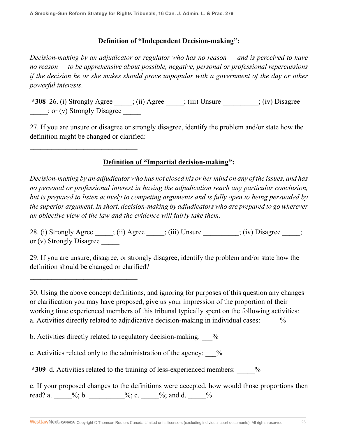$\overline{\phantom{a}}$  , where  $\overline{\phantom{a}}$  , where  $\overline{\phantom{a}}$  , where  $\overline{\phantom{a}}$  , where  $\overline{\phantom{a}}$ 

 $\mathcal{L}_\text{max}$  , where  $\mathcal{L}_\text{max}$  is the set of the set of the set of the set of the set of the set of the set of the set of the set of the set of the set of the set of the set of the set of the set of the set of the se

#### **Definition of "Independent Decision-making":**

*Decision-making by an adjudicator or regulator who has no reason — and is perceived to have no reason — to be apprehensive about possible, negative, personal or professional repercussions if the decision he or she makes should prove unpopular with a government of the day or other powerful interests*.

**\*308** 26. (i) Strongly Agree \_\_\_\_\_; (ii) Agree \_\_\_\_\_; (iii) Unsure \_\_\_\_\_\_\_\_\_\_; (iv) Disagree \_\_\_\_\_; or (v) Strongly Disagree \_\_\_\_\_

27. If you are unsure or disagree or strongly disagree, identify the problem and/or state how the definition might be changed or clarified:

# **Definition of "Impartial decision-making":**

*Decision-making by an adjudicator who has not closed his or her mind on any of the issues, and has no personal or professional interest in having the adjudication reach any particular conclusion, but is prepared to listen actively to competing arguments and is fully open to being persuaded by the superior argument. In short, decision-making by adjudicators who are prepared to go wherever an objective view of the law and the evidence will fairly take them*.

28. (i) Strongly Agree  $\qquad$ ; (ii) Agree  $\qquad$ ; (iii) Unsure  $\qquad$ ; (iv) Disagree  $\qquad$ ; or (v) Strongly Disagree

29. If you are unsure, disagree, or strongly disagree, identify the problem and/or state how the definition should be changed or clarified?

30. Using the above concept definitions, and ignoring for purposes of this question any changes or clarification you may have proposed, give us your impression of the proportion of their working time experienced members of this tribunal typically spent on the following activities: a. Activities directly related to adjudicative decision-making in individual cases:  $\frac{9}{6}$ 

b. Activities directly related to regulatory decision-making:  $\%$ 

c. Activities related only to the administration of the agency:  $\%$ 

**\*309** d. Activities related to the training of less-experienced members: \_\_\_\_\_%

e. If your proposed changes to the definitions were accepted, how would those proportions then read? a. \_\_\_\_\_%; b. \_\_\_\_\_\_\_\_%; c. \_\_\_\_%; and d. \_\_\_\_%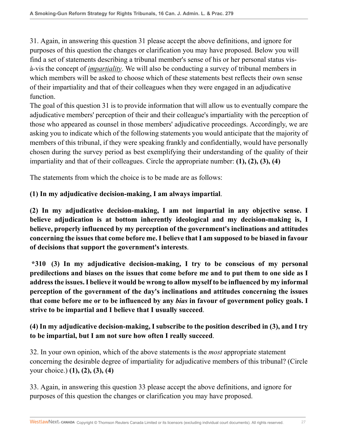31. Again, in answering this question 31 please accept the above definitions, and ignore for purposes of this question the changes or clarification you may have proposed. Below you will find a set of statements describing a tribunal member's sense of his or her personal status visà-vis the concept of *impartiality*. We will also be conducting a survey of tribunal members in which members will be asked to choose which of these statements best reflects their own sense of their impartiality and that of their colleagues when they were engaged in an adjudicative function.

The goal of this question 31 is to provide information that will allow us to eventually compare the adjudicative members' perception of their and their colleague's impartiality with the perception of those who appeared as counsel in those members' adjudicative proceedings. Accordingly, we are asking you to indicate which of the following statements you would anticipate that the majority of members of this tribunal, if they were speaking frankly and confidentially, would have personally chosen during the survey period as best exemplifying their understanding of the quality of their impartiality and that of their colleagues. Circle the appropriate number: **(1), (2), (3), (4)**

The statements from which the choice is to be made are as follows:

# **(1) In my adjudicative decision-making, I am always impartial**.

**(2) In my adjudicative decision-making, I am not impartial in any objective sense. I believe adjudication is at bottom inherently ideological and my decision-making is, I believe, properly influenced by my perception of the government's inclinations and attitudes concerning the issues that come before me. I believe that I am supposed to be biased in favour of decisions that support the government's interests**.

**\*310 (3) In my adjudicative decision-making, I try to be conscious of my personal predilections and biases on the issues that come before me and to put them to one side as I address the issues. I believe it would be wrong to allow myself to be influenced by my informal perception of the government of the day's inclinations and attitudes concerning the issues that come before me or to be influenced by any** *bias* **in favour of government policy goals. I strive to be impartial and I believe that I usually succeed**.

# **(4) In my adjudicative decision-making, I subscribe to the position described in (3), and I try to be impartial, but I am not sure how often I really succeed**.

32. In your own opinion, which of the above statements is the *most* appropriate statement concerning the desirable degree of impartiality for adjudicative members of this tribunal? (Circle your choice.) **(1), (2), (3), (4)**

33. Again, in answering this question 33 please accept the above definitions, and ignore for purposes of this question the changes or clarification you may have proposed.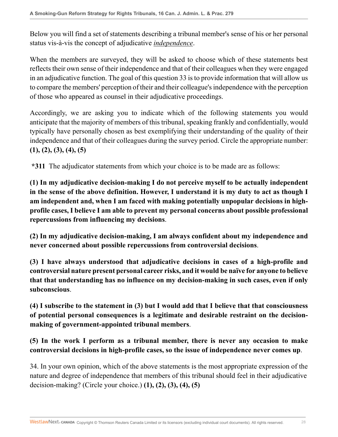Below you will find a set of statements describing a tribunal member's sense of his or her personal status vis-à-vis the concept of adjudicative *independence*.

When the members are surveyed, they will be asked to choose which of these statements best reflects their own sense of their independence and that of their colleagues when they were engaged in an adjudicative function. The goal of this question 33 is to provide information that will allow us to compare the members' perception of their and their colleague's independence with the perception of those who appeared as counsel in their adjudicative proceedings.

Accordingly, we are asking you to indicate which of the following statements you would anticipate that the majority of members of this tribunal, speaking frankly and confidentially, would typically have personally chosen as best exemplifying their understanding of the quality of their independence and that of their colleagues during the survey period. Circle the appropriate number: **(1), (2), (3), (4), (5)**

**\*311** The adjudicator statements from which your choice is to be made are as follows:

**(1) In my adjudicative decision-making I do not perceive myself to be actually independent in the sense of the above definition. However, I understand it is my duty to act as though I am independent and, when I am faced with making potentially unpopular decisions in highprofile cases, I believe I am able to prevent my personal concerns about possible professional repercussions from influencing my decisions**.

**(2) In my adjudicative decision-making, I am always confident about my independence and never concerned about possible repercussions from controversial decisions**.

**(3) I have always understood that adjudicative decisions in cases of a high-profile and controversial nature present personal career risks, and it would be naïve for anyone to believe that that understanding has no influence on my decision-making in such cases, even if only subconscious**.

**(4) I subscribe to the statement in (3) but I would add that I believe that that consciousness of potential personal consequences is a legitimate and desirable restraint on the decisionmaking of government-appointed tribunal members**.

# **(5) In the work I perform as a tribunal member, there is never any occasion to make controversial decisions in high-profile cases, so the issue of independence never comes up**.

34. In your own opinion, which of the above statements is the most appropriate expression of the nature and degree of independence that members of this tribunal should feel in their adjudicative decision-making? (Circle your choice.) **(1), (2), (3), (4), (5)**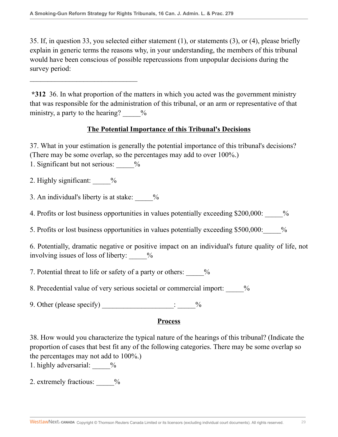35. If, in question 33, you selected either statement (1), or statements (3), or (4), please briefly explain in generic terms the reasons why, in your understanding, the members of this tribunal would have been conscious of possible repercussions from unpopular decisions during the survey period:

**\*312** 36. In what proportion of the matters in which you acted was the government ministry that was responsible for the administration of this tribunal, or an arm or representative of that ministry, a party to the hearing?  $\frac{9}{6}$ 

#### **The Potential Importance of this Tribunal's Decisions**

37. What in your estimation is generally the potential importance of this tribunal's decisions? (There may be some overlap, so the percentages may add to over 100%.)

1. Significant but not serious:  $\frac{9}{6}$ 

 $\mathcal{L}_\text{max}$  , where  $\mathcal{L}_\text{max}$  is the set of the set of the set of the set of the set of the set of the set of the set of the set of the set of the set of the set of the set of the set of the set of the set of the se

2. Highly significant:  $\frac{9}{6}$ 

3. An individual's liberty is at stake:  $\frac{1}{2}$ 

4. Profits or lost business opportunities in values potentially exceeding \$200,000:  $\frac{\%}{\%}$ 

5. Profits or lost business opportunities in values potentially exceeding \$500,000:\_\_\_\_\_%

6. Potentially, dramatic negative or positive impact on an individual's future quality of life, not involving issues of loss of liberty:  $\frac{1}{2}$ 

7. Potential threat to life or safety of a party or others:  $\frac{1}{6}$ 

8. Precedential value of very serious societal or commercial import:  $\frac{9}{6}$ 

9. Other (please specify)  $\qquad \qquad$   $\qquad \qquad$   $\qquad \qquad$ 

## **Process**

38. How would you characterize the typical nature of the hearings of this tribunal? (Indicate the proportion of cases that best fit any of the following categories. There may be some overlap so the percentages may not add to 100%.)

1. highly adversarial:  $\frac{9}{6}$ 

2. extremely fractious:  $\frac{6}{6}$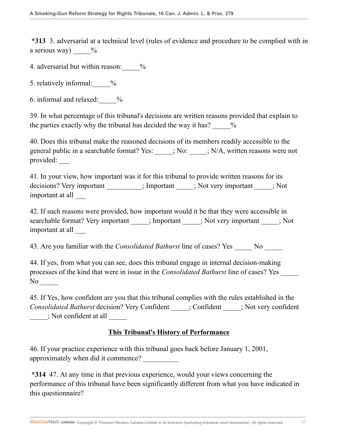**\*313** 3. adversarial at a technical level (rules of evidence and procedure to be complied with in a serious way)  $\frac{6}{6}$ 

4. adversarial but within reason:  $\frac{9}{6}$ 

5. relatively informal:  $\frac{9}{6}$ 

6. informal and relaxed:\_\_\_\_\_%

39. In what percentage of this tribunal's decisions are written reasons provided that explain to the parties exactly why the tribunal has decided the way it has?  $\frac{1}{2}$ 

40. Does this tribunal make the reasoned decisions of its members readily accessible to the general public in a searchable format? Yes:  $\qquad$ ; No:  $\qquad$ ; N/A, written reasons were not provided: \_\_\_

41. In your view, how important was it for this tribunal to provide written reasons for its decisions? Very important \_\_\_\_\_\_\_\_; Important \_\_\_\_\_; Not very important \_\_\_\_\_; Not important at all \_\_\_

42. If such reasons were provided, how important would it be that they were accessible in searchable format? Very important \_\_\_\_\_; Important \_\_\_\_\_; Not very important \_\_\_\_\_; Not important at all \_\_\_

43. Are you familiar with the *Consolidated Bathurst* line of cases? Yes No

44. If yes, from what you can see, does this tribunal engage in internal decision-making processes of the kind that were in issue in the *Consolidated Bathurst* line of cases? Yes \_\_\_\_\_ No  $\sim$ 

45. If Yes, how confident are you that this tribunal complies with the rules established in the *Consolidated Bathurst* decision? Very Confident \_\_\_\_\_; Confident \_\_\_\_\_; Not very confident \_\_\_\_\_; Not confident at all \_\_\_\_\_

## **This Tribunal's History of Performance**

46. If your practice experience with this tribunal goes back before January 1, 2001, approximately when did it commence? \_\_\_\_\_\_\_\_\_\_

**\*314** 47. At any time in that previous experience, would your views concerning the performance of this tribunal have been significantly different from what you have indicated in this questionnaire?